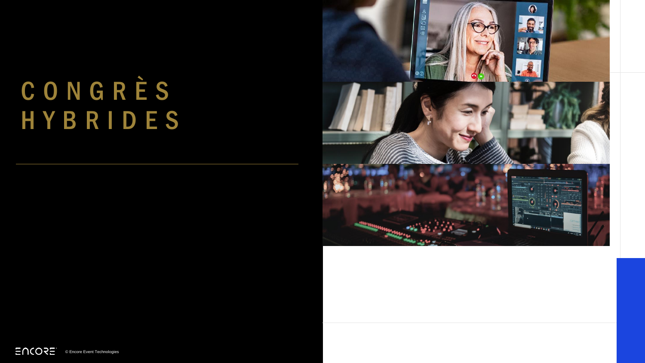### C O N G R È S H Y B R I D E S



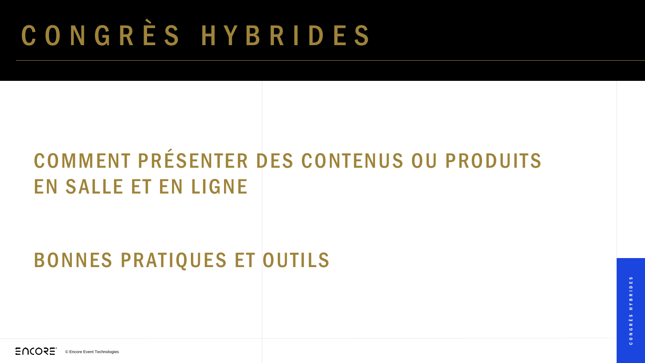## C O N G R È S H Y B R I D E S

### COMMENT PRÉSENTER DES CONTENUS OU PRODUITS EN SALLE ET EN LIGNE

#### BONNES PRATIQUES ET OUTILS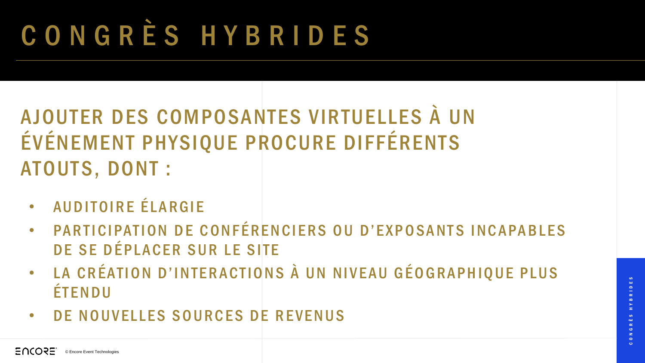# C O N G R È S H Y B R I D E S

### AJOUTER DES COMPOSANTES VIRTUELLES À UN ÉVÉNEMENT PHYSIQUE PROCURE DIFFÉRENTS ATOUTS, DONT :

- AUDITOIRE ÉLARGIE
- PARTICIPATION DE CONFÉRENCIERS OU D'EXPOSANTS INCAPABLES DE SE DÉPLACER SUR LE SITE
- LA CRÉATION D'INTERACTIONS À UN NIVEAU GÉOGRAPHIQUE PLUS **ÉTENDU**
- DE NOUVELLES SOURCES DE REVENUS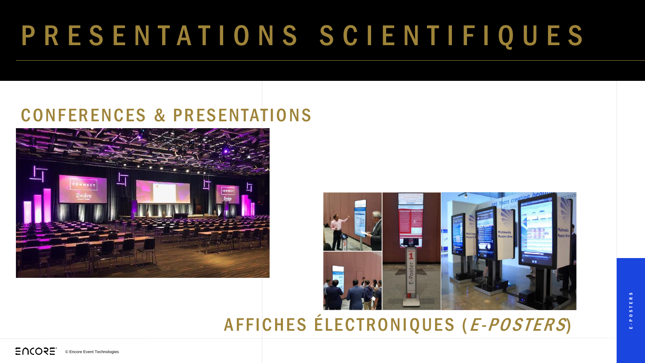## P R E S E N T A T I O N S S C I E N T I F I Q U E S

#### CONFERENCES & PRESENTATIONS





#### AFFICHES ÉLECTRONIQUES (E-POSTERS)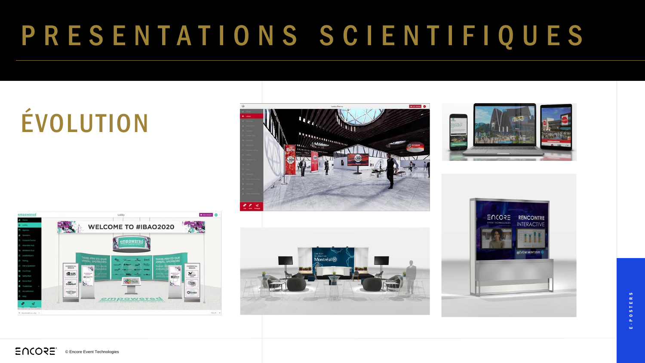## P R E S E N T A T I O N S S C I E N T I F I Q U E S

# ÉVOLUTION









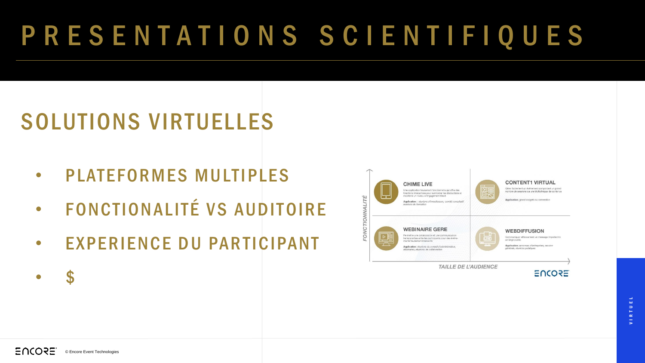## P R E S E N T A T I O N S S C I E N T I F I Q U E S

### SOLUTIONS VIRTUELLES

- PLATEFORMES MULTIPLES
- FONCTIONALITÉ VS AUDITOIRE
- EXPERIENCE DU PARTICIPANT





EUCOSE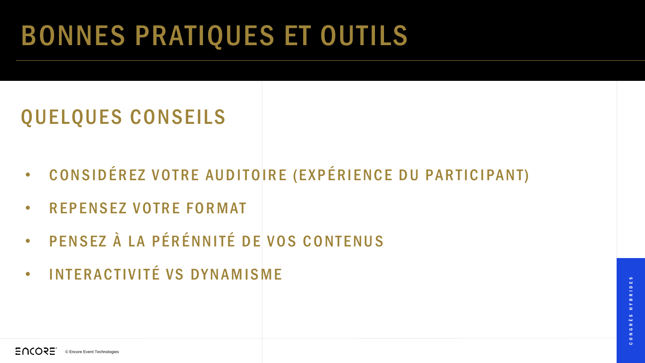## BONNES PRATIQUES ET OUTILS

### QUELQUES CONSEILS

- CONSIDÉREZ VOTRE AUDITOIRE (EXPÉRIENCE DU PARTICIPANT)
- **REPENSEZ VOTRE FORMAT**
- · PENSEZ À LA PÉRÉNNITÉ DE VOS CONTENUS
- INTERACTIVITÉ VS DYNAMISME